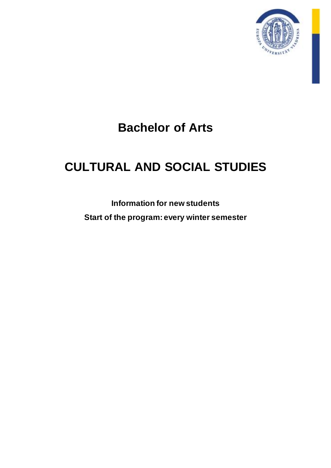

# **Bachelor of Arts**

# **CULTURAL AND SOCIAL STUDIES**

**Information for new students Start of the program: every winter semester**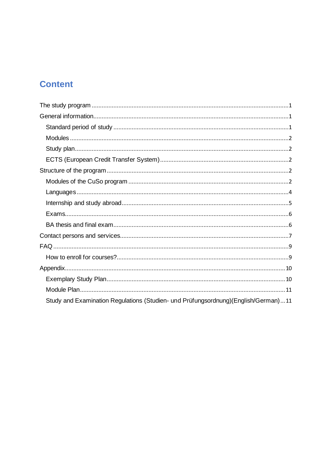# **Content**

| Study and Examination Regulations (Studien- und Prüfungsordnung)(English/German)11 |
|------------------------------------------------------------------------------------|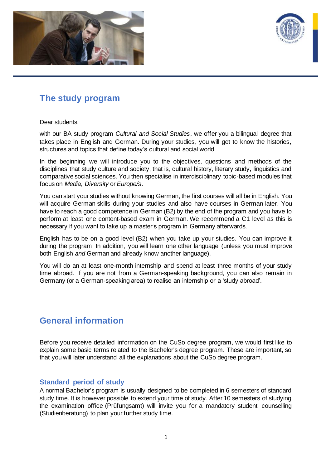



# <span id="page-2-0"></span>**The study program**

Dear students,

with our BA study program *Cultural and Social Studies*, we offer you a bilingual degree that takes place in English and German. During your studies, you will get to know the histories, structures and topics that define today's cultural and social world.

In the beginning we will introduce you to the objectives, questions and methods of the disciplines that study culture and society, that is, cultural history, literary study, linguistics and comparative social sciences. You then specialise in interdisciplinary topic-based modules that focus on *Media*, *Diversity* or *Europe/s*.

You can start your studies without knowing German, the first courses will all be in English. You will acquire German skills during your studies and also have courses in German later. You have to reach a good competence in German (B2) by the end of the program and you have to perform at least one content-based exam in German. We recommend a C1 level as this is necessary if you want to take up a master's program in Germany afterwards.

English has to be on a good level (B2) when you take up your studies. You can improve it during the program. In addition, you will learn one other language (unless you must improve both English *and* German and already know another language).

You will do an at least one-month internship and spend at least three months of your study time abroad. If you are not from a German-speaking background, you can also remain in Germany (or a German-speaking area) to realise an internship or a 'study abroad'.

# <span id="page-2-1"></span>**General information**

Before you receive detailed information on the CuSo degree program, we would first like to explain some basic terms related to the Bachelor's degree program. These are important, so that you will later understand all the explanations about the CuSo degree program.

#### <span id="page-2-2"></span>**Standard period of study**

A normal Bachelor's program is usually designed to be completed in 6 semesters of standard study time. It is however possible to extend your time of study. After 10 semesters of studying the examination office (Prüfungsamt) will invite you for a mandatory student counselling (Studienberatung) to plan your further study time.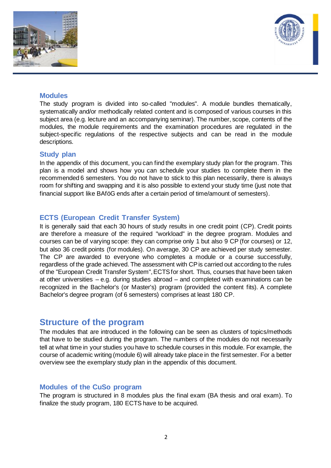



#### <span id="page-3-0"></span>**Modules**

The study program is divided into so-called "modules". A module bundles thematically, systematically and/or methodically related content and is composed of various courses in this subject area (e.g. lecture and an accompanying seminar). The number, scope, contents of the modules, the module requirements and the examination procedures are regulated in the subject-specific regulations of the respective subjects and can be read in the module descriptions.

#### <span id="page-3-1"></span>**Study plan**

In the appendix of this document, you can find the exemplary study plan for the program. This plan is a model and shows how you can schedule your studies to complete them in the recommended 6 semesters. You do not have to stick to this plan necessarily, there is always room for shifting and swapping and it is also possible to extend your study time (just note that financial support like BAföG ends after a certain period of time/amount of semesters).

#### <span id="page-3-2"></span>**ECTS (European Credit Transfer System)**

It is generally said that each 30 hours of study results in one credit point (CP). Credit points are therefore a measure of the required "workload" in the degree program. Modules and courses can be of varying scope: they can comprise only 1 but also 9 CP (for courses) or 12, but also 36 credit points (for modules). On average, 30 CP are achieved per study semester. The CP are awarded to everyone who completes a module or a course successfully, regardless of the grade achieved. The assessment with CP is carried out according to the rules of the "European Credit Transfer System", ECTS for short. Thus, courses that have been taken at other universities – e.g. during studies abroad – and completed with examinations can be recognized in the Bachelor's (or Master's) program (provided the content fits). A complete Bachelor's degree program (of 6 semesters) comprises at least 180 CP.

## <span id="page-3-3"></span>**Structure of the program**

The modules that are introduced in the following can be seen as clusters of topics/methods that have to be studied during the program. The numbers of the modules do not necessarily tell at what time in your studies you have to schedule courses in this module. For example, the course of academic writing (module 6) will already take place in the first semester. For a better overview see the exemplary study plan in the appendix of this document.

#### <span id="page-3-4"></span>**Modules of the CuSo program**

The program is structured in 8 modules plus the final exam (BA thesis and oral exam). To finalize the study program, 180 ECTS have to be acquired.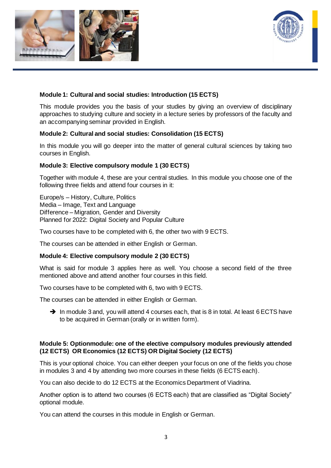



### **Module 1: Cultural and social studies: Introduction (15 ECTS)**

This module provides you the basis of your studies by giving an overview of disciplinary approaches to studying culture and society in a lecture series by professors of the faculty and an accompanying seminar provided in English.

#### **Module 2: Cultural and social studies: Consolidation (15 ECTS)**

In this module you will go deeper into the matter of general cultural sciences by taking two courses in English.

#### **Module 3: Elective compulsory module 1 (30 ECTS)**

Together with module 4, these are your central studies. In this module you choose one of the following three fields and attend four courses in it:

Europe/s – History, Culture, Politics Media – Image, Text and Language Difference – Migration, Gender and Diversity Planned for 2022: Digital Society and Popular Culture

Two courses have to be completed with 6, the other two with 9 ECTS.

The courses can be attended in either English or German.

#### **Module 4: Elective compulsory module 2 (30 ECTS)**

What is said for module 3 applies here as well. You choose a second field of the three mentioned above and attend another four courses in this field.

Two courses have to be completed with 6, two with 9 ECTS.

The courses can be attended in either English or German.

→ In module 3 and, you will attend 4 courses each, that is 8 in total. At least 6 ECTS have to be acquired in German (orally or in written form).

#### **Module 5: Optionmodule: one of the elective compulsory modules previously attended (12 ECTS) OR Economics (12 ECTS) OR Digital Society (12 ECTS)**

This is your optional choice. You can either deepen your focus on one of the fields you chose in modules 3 and 4 by attending two more courses in these fields (6 ECTS each).

You can also decide to do 12 ECTS at the Economics Department of Viadrina.

Another option is to attend two courses (6 ECTS each) that are classified as "Digital Society" optional module.

You can attend the courses in this module in English or German.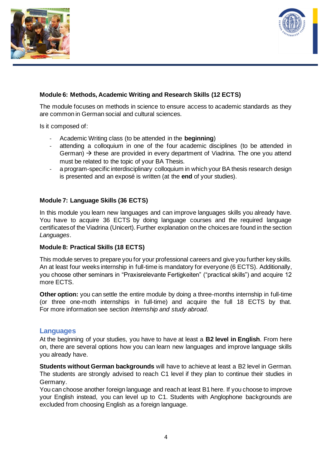



### **Module 6: Methods, Academic Writing and Research Skills (12 ECTS)**

The module focuses on methods in science to ensure access to academic standards as they are common in German social and cultural sciences.

Is it composed of:

- Academic Writing class (to be attended in the **beginning**)
- attending a colloquium in one of the four academic disciplines (to be attended in German)  $\rightarrow$  these are provided in every department of Viadrina. The one you attend must be related to the topic of your BA Thesis.
- a program-specific interdisciplinary colloquium in which your BA thesis research design is presented and an exposé is written (at the **end** of your studies).

#### **Module 7: Language Skills (36 ECTS)**

In this module you learn new languages and can improve languages skills you already have. You have to acquire 36 ECTS by doing language courses and the required language certificates of the Viadrina (Unicert). Further explanation on the choices are found in the section *Languages*.

#### **Module 8: Practical Skills (18 ECTS)**

This module serves to prepare you for your professional careers and give you further key skills. An at least four weeks internship in full-time is mandatory for everyone (6 ECTS). Additionally, you choose other seminars in "Praxisrelevante Fertigkeiten" ("practical skills") and acquire 12 more ECTS.

**Other option:** you can settle the entire module by doing a three-months internship in full-time (or three one-moth internships in full-time) and acquire the full 18 ECTS by that. For more information see section *Internship and study abroad*.

#### <span id="page-5-0"></span>**Languages**

At the beginning of your studies, you have to have at least a **B2 level in English**. From here on, there are several options how you can learn new languages and improve language skills you already have.

**Students without German backgrounds** will have to achieve at least a B2 level in German. The students are strongly advised to reach C1 level if they plan to continue their studies in Germany.

You can choose another foreign language and reach at least B1 here. If you choose to improve your English instead, you can level up to C1. Students with Anglophone backgrounds are excluded from choosing English as a foreign language.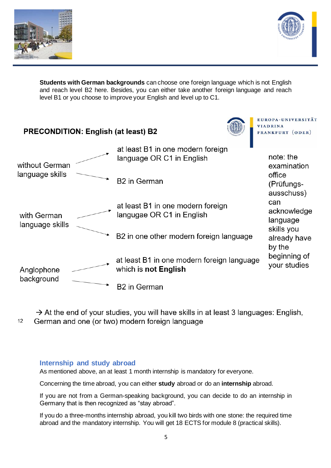



**Students with German backgrounds** can choose one foreign language which is not English and reach level B2 here. Besides, you can either take another foreign language and reach level B1 or you choose to improve your English and level up to C1.



 $\rightarrow$  At the end of your studies, you will have skills in at least 3 languages: English,  $12$ German and one (or two) modern foreign language

#### <span id="page-6-0"></span>**Internship and study abroad**

As mentioned above, an at least 1 month internship is mandatory for everyone.

Concerning the time abroad, you can either **study** abroad or do an **internship** abroad.

If you are not from a German-speaking background, you can decide to do an internship in Germany that is then recognized as "stay abroad".

If you do a three-months internship abroad, you kill two birds with one stone: the required time abroad and the mandatory internship. You will get 18 ECTS for module 8 (practical skills).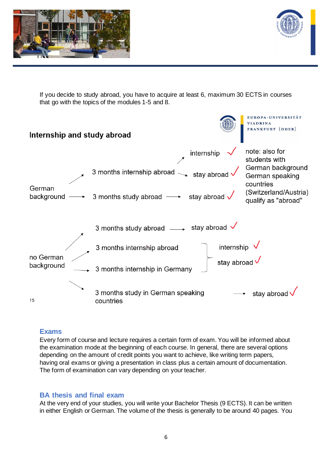



If you decide to study abroad, you have to acquire at least 6, maximum 30 ECTS in courses that go with the topics of the modules 1-5 and 8.



## <span id="page-7-0"></span>**Exams**

Every form of course and lecture requires a certain form of exam. You will be informed about the examination mode at the beginning of each course. In general, there are several options depending on the amount of credit points you want to achieve, like writing term papers, having oral exams or giving a presentation in class plus a certain amount of documentation. The form of examination can vary depending on your teacher.

### <span id="page-7-1"></span>**BA thesis and final exam**

At the very end of your studies, you will write your Bachelor Thesis (9 ECTS). It can be written in either English or German. The volume of the thesis is generally to be around 40 pages. You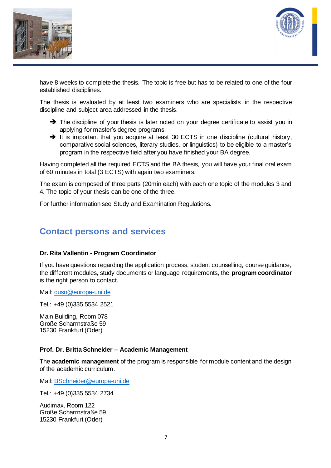



have 8 weeks to complete the thesis. The topic is free but has to be related to one of the four established disciplines.

The thesis is evaluated by at least two examiners who are specialists in the respective discipline and subject area addressed in the thesis.

- ➔ The discipline of your thesis is later noted on your degree certificate to assist you in applying for master's degree programs.
- → It is important that you acquire at least 30 ECTS in one discipline (cultural history, comparative social sciences, literary studies, or linguistics) to be eligible to a master's program in the respective field after you have finished your BA degree.

Having completed all the required ECTS and the BA thesis, you will have your final oral exam of 60 minutes in total (3 ECTS) with again two examiners.

The exam is composed of three parts (20min each) with each one topic of the modules 3 and 4. The topic of your thesis can be one of the three.

For further information see Study and Examination Regulations.

# <span id="page-8-0"></span>**Contact persons and services**

#### **Dr. Rita Vallentin - Program Coordinator**

If you have questions regarding the application process, student counselling, course guidance, the different modules, study documents or language requirements, the **program coordinator** is the right person to contact.

Mail: [cuso@europa-uni.de](mailto:cuso@europa-uni.de)

Tel.: +49 (0)335 5534 2521

Main Building, Room 078 Große Scharrnstraße 59 15230 Frankfurt (Oder)

#### **Prof. Dr. Britta Schneider – Academic Management**

The **academic management** of the program is responsible for module content and the design of the academic curriculum.

Mail: [BSchneider@europa-uni.de](mailto:BSchneider@europa-uni.de)

Tel.: +49 (0)335 5534 2734

Audimax, Room 122 Große Scharrnstraße 59 15230 Frankfurt (Oder)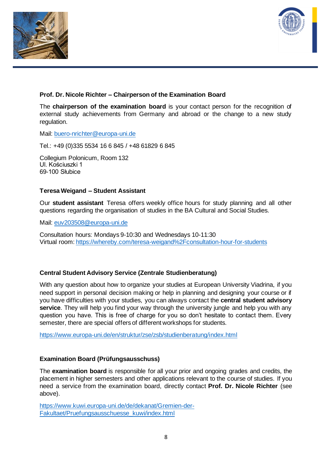



### **Prof. Dr. Nicole Richter – Chairperson of the Examination Board**

The **chairperson of the examination board** is your contact person for the recognition of external study achievements from Germany and abroad or the change to a new study regulation.

Mail: [buero-nrichter@europa-uni.de](mailto:buero-nrichter@europa-uni.de)

Tel.: +49 (0)335 5534 16 6 845 / +48 61829 6 845

Collegium Polonicum, Room 132 Ul. Kościuszki 1 69-100 Słubice

#### **Teresa Weigand – Student Assistant**

Our **student assistant** Teresa offers weekly office hours for study planning and all other questions regarding the organisation of studies in the BA Cultural and Social Studies.

Mail: [euv203508@europa-uni.de](mailto:euv203508@europa-uni.de)

Consultation hours: Mondays 9-10:30 and Wednesdays 10-11:30 Virtual room[: https://whereby.com/teresa-weigand%2Fconsultation-hour-for-students](https://whereby.com/teresa-weigand%2Fconsultation-hour-for-students)

#### **Central Student Advisory Service (Zentrale Studienberatung)**

With any question about how to organize your studies at European University Viadrina, if you need support in personal decision making or help in planning and designing your course or if you have difficulties with your studies, you can always contact the **central student advisory service**. They will help you find your way through the university jungle and help you with any question you have. This is free of charge for you so don't hesitate to contact them. Every semester, there are special offers of different workshops for students.

<https://www.europa-uni.de/en/struktur/zse/zsb/studienberatung/index.html>

#### **Examination Board (Prüfungsausschuss)**

The **examination board** is responsible for all your prior and ongoing grades and credits, the placement in higher semesters and other applications relevant to the course of studies. If you need a service from the examination board, directly contact **Prof. Dr. Nicole Richter** (see above).

[https://www.kuwi.europa-uni.de/de/dekanat/Gremien-der-](https://www.kuwi.europa-uni.de/de/dekanat/Gremien-der-Fakultaet/Pruefungsausschuesse_kuwi/index.html)[Fakultaet/Pruefungsausschuesse\\_kuwi/index.html](https://www.kuwi.europa-uni.de/de/dekanat/Gremien-der-Fakultaet/Pruefungsausschuesse_kuwi/index.html)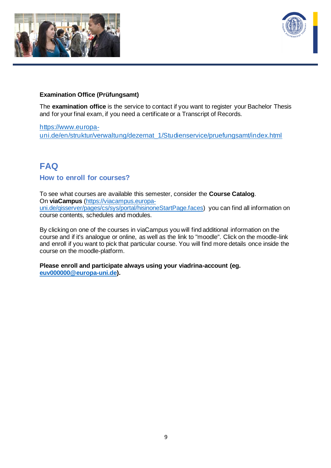



#### **Examination Office (Prüfungsamt)**

The **examination office** is the service to contact if you want to register your Bachelor Thesis and for your final exam, if you need a certificate or a Transcript of Records.

[https://www.europa](https://www.europa-uni.de/en/struktur/verwaltung/dezernat_1/Studienservice/pruefungsamt/index.html)[uni.de/en/struktur/verwaltung/dezernat\\_1/Studienservice/pruefungsamt/index.html](https://www.europa-uni.de/en/struktur/verwaltung/dezernat_1/Studienservice/pruefungsamt/index.html)

# <span id="page-10-0"></span>**FAQ**

#### <span id="page-10-1"></span>**How to enroll for courses?**

To see what courses are available this semester, consider the **Course Catalog**. On **viaCampus** [\(https://viacampus.europa](https://viacampus.europa-uni.de/qisserver/pages/cs/sys/portal/hisinoneStartPage.faces)[uni.de/qisserver/pages/cs/sys/portal/hisinoneStartPage.faces\)](https://viacampus.europa-uni.de/qisserver/pages/cs/sys/portal/hisinoneStartPage.faces) you can find all information on course contents, schedules and modules.

By clicking on one of the courses in viaCampus you will find additional information on the course and if it's analogue or online, as well as the link to "moodle". Click on the moodle-link and enroll if you want to pick that particular course. You will find more details once inside the course on the moodle-platform.

**Please enroll and participate always using your viadrina-account (eg. [euv000000@europa-uni.de\)](mailto:euv000000@europa-uni.de).**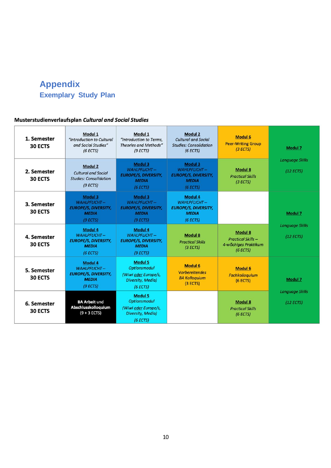# <span id="page-11-1"></span><span id="page-11-0"></span>**Appendix Exemplary Study Plan**

### Musterstudienverlaufsplan Cultural and Social Studies

| 1. Semester<br>30 ECTS | Modul 1<br>"Introduction to Cultural<br>and Social Studies"<br>(6 ECTS)                   | Modul 1<br>"Introduction to Terms,<br><b>Theories and Methods"</b><br>(9 ECTS)                        | <b>Modul 2</b><br><b>Cultural and Social</b><br><b>Studies: Consolidation</b><br>(6 ECTS) | <b>Modul 6</b><br><b>Peer-Writing Group</b><br>(3 ECTS)                         | <b>Modul 7</b>                      |  |
|------------------------|-------------------------------------------------------------------------------------------|-------------------------------------------------------------------------------------------------------|-------------------------------------------------------------------------------------------|---------------------------------------------------------------------------------|-------------------------------------|--|
| 2. Semester<br>30 ECTS | <b>Modul 2</b><br><b>Cultural and Social</b><br><b>Studies: Consolidation</b><br>(9 ECTS) | Modul 3<br><b>WAHLPFLICHT-</b><br><b>EUROPE/S, DIVERSITY,</b><br><b>MEDIA</b><br>(6 ECTS)             | Modul 3<br>WAHLPFLICHT-<br><b>EUROPE/S, DIVERSITY,</b><br><b>MEDIA</b><br>(6 ECTS)        | <b>Modul 8</b><br><b>Practical Skills</b><br>(3 ECTS)                           | <b>Language Skills</b><br>(12 ECTS) |  |
| 3. Semester<br>30 ECTS | Modul 3<br>WAHLPFLICHT-<br><b>EUROPE/S, DIVERSITY,</b><br><b>MEDIA</b><br>(9 ECTS)        | Modul 3<br><b>WAHLPFLICHT-</b><br><b>EUROPE/S, DIVERSITY,</b><br><b>MEDIA</b><br>(9 ECTS)             | <b>Modul 4</b><br>WAHLPFLICHT-<br><b>EUROPE/S, DIVERSITY,</b><br><b>MEDIA</b><br>(6 ECTS) |                                                                                 | <b>Modul 7</b>                      |  |
| 4. Semester<br>30 ECTS | <b>Modul 4</b><br>WAHLPFLICHT-<br><b>EUROPE/S, DIVERSITY,</b><br><b>MEDIA</b><br>(6 ECTS) | <b>Modul 4</b><br>WAHLPFLICHT-<br><b>EUROPE/S, DIVERSITY,</b><br><b>MEDIA</b><br>(9 ECTS)             | <b>Modul 8</b><br><b>Practical Skills</b><br>(3 ECTS)                                     | <b>Modul 8</b><br><b>Practical Skills -</b><br>4-wöchiges Praktikum<br>(6 ECTS) | <b>Language Skills</b><br>(12 ECTS) |  |
| 5. Semester<br>30 ECTS | <b>Modul 4</b><br>WAHLPFLICHT-<br><b>EUROPE/S, DIVERSITY,</b><br><b>MEDIA</b><br>(9 ECTS) | <b>Modul 5</b><br><b>Optionsmodul</b><br>(Wiwi oder Europe/s,<br><b>Diversity, Media)</b><br>(6 ECTS) | <b>Modul 6</b><br><b>Vorbereitendes</b><br><b>BA Kolloquium</b><br>(3 ECTS)               | <b>Modul 6</b><br><b>Fachkolloquium</b><br>$(6$ ECTS)                           | Modul 7                             |  |
| 6. Semester<br>30 ECTS | <b>BA Arbeit und</b><br>Abschlusskolloquium<br>$(9 + 3$ ECTS)                             | <b>Modul 5</b><br><b>Optionsmodul</b><br>(Wiwi oder Europe/s,<br><b>Diversity, Media)</b><br>(6 ECTS) |                                                                                           | <b>Modul 8</b><br><b>Practical Skills</b><br>(6 ECTS)                           | <b>Language Skills</b><br>(12 ECTS) |  |